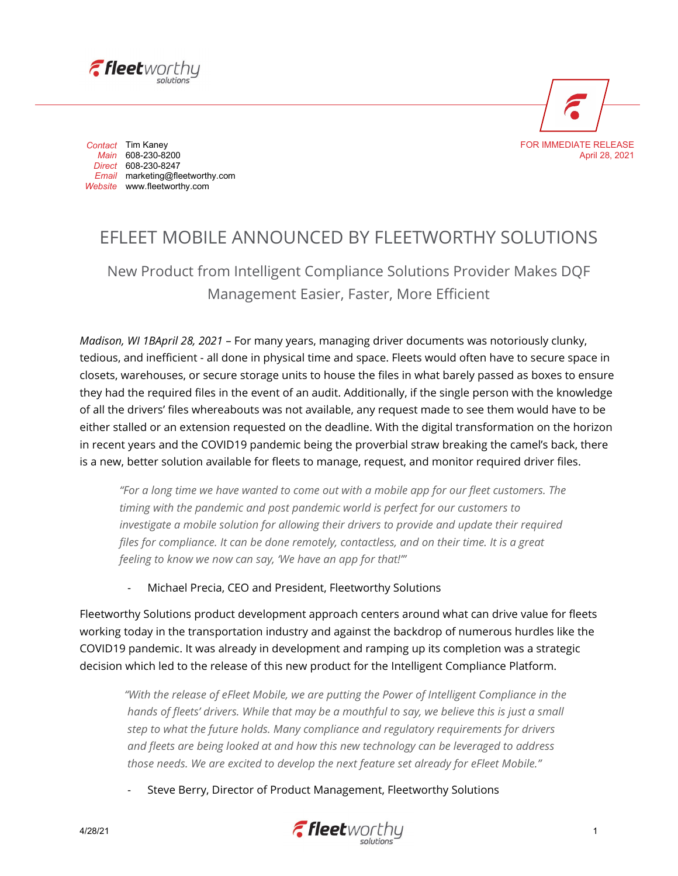

FOR IMMEDIATE RELEASE April 28, 2021

*Contact* Tim Kaney *Main* 608-230-8200 *Direct* 608-230-8247 *Email* marketing@fleetworthy.com *Website* www.fleetworthy.com

## EFLEET MOBILE ANNOUNCED BY FLEETWORTHY SOLUTIONS

New Product from Intelligent Compliance Solutions Provider Makes DQF Management Easier, Faster, More Efficient

*Madison, WI 1BApril 28, 2021* – For many years, managing driver documents was notoriously clunky, tedious, and inefficient - all done in physical time and space. Fleets would often have to secure space in closets, warehouses, or secure storage units to house the files in what barely passed as boxes to ensure they had the required files in the event of an audit. Additionally, if the single person with the knowledge of all the drivers' files whereabouts was not available, any request made to see them would have to be either stalled or an extension requested on the deadline. With the digital transformation on the horizon in recent years and the COVID19 pandemic being the proverbial straw breaking the camel's back, there is a new, better solution available for fleets to manage, request, and monitor required driver files.

*"For a long time we have wanted to come out with a mobile app for our fleet customers. The timing with the pandemic and post pandemic world is perfect for our customers to investigate a mobile solution for allowing their drivers to provide and update their required files for compliance. It can be done remotely, contactless, and on their time. It is a great feeling to know we now can say, 'We have an app for that!'"*

Michael Precia, CEO and President, Fleetworthy Solutions

Fleetworthy Solutions product development approach centers around what can drive value for fleets working today in the transportation industry and against the backdrop of numerous hurdles like the COVID19 pandemic. It was already in development and ramping up its completion was a strategic decision which led to the release of this new product for the Intelligent Compliance Platform.

*"With the release of eFleet Mobile, we are putting the Power of Intelligent Compliance in the hands of fleets' drivers. While that may be a mouthful to say, we believe this is just a small step to what the future holds. Many compliance and regulatory requirements for drivers and fleets are being looked at and how this new technology can be leveraged to address those needs. We are excited to develop the next feature set already for eFleet Mobile."* 

Steve Berry, Director of Product Management, Fleetworthy Solutions